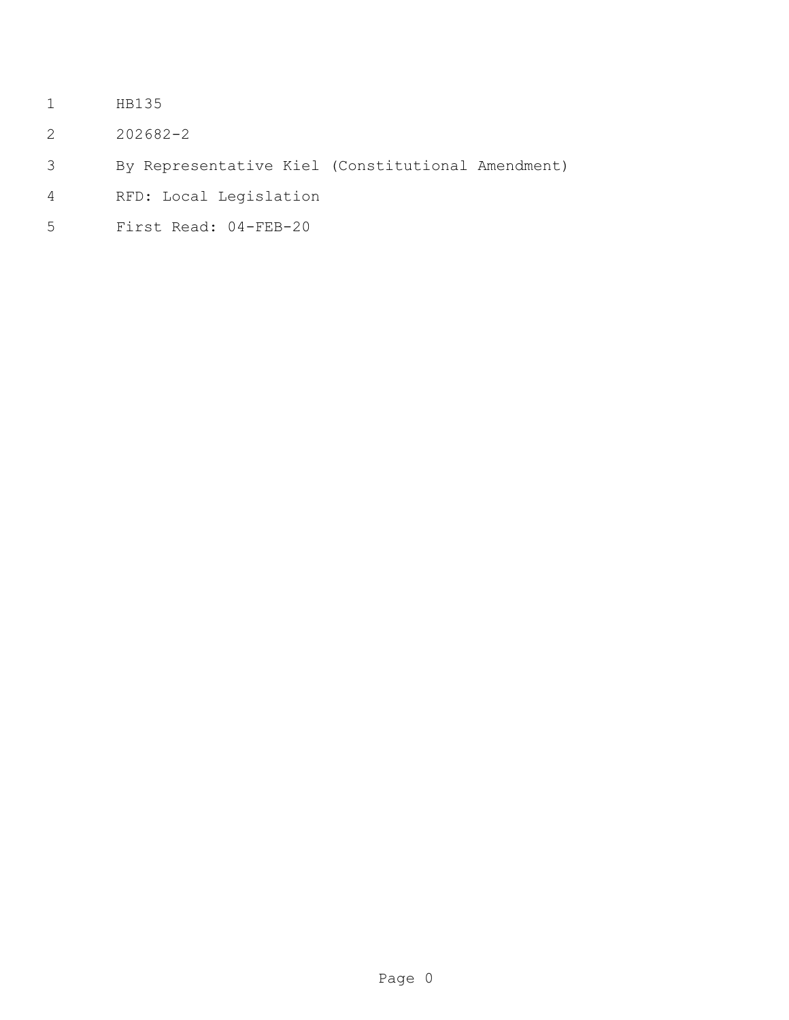- HB135
- 202682-2
- By Representative Kiel (Constitutional Amendment)
- RFD: Local Legislation
- First Read: 04-FEB-20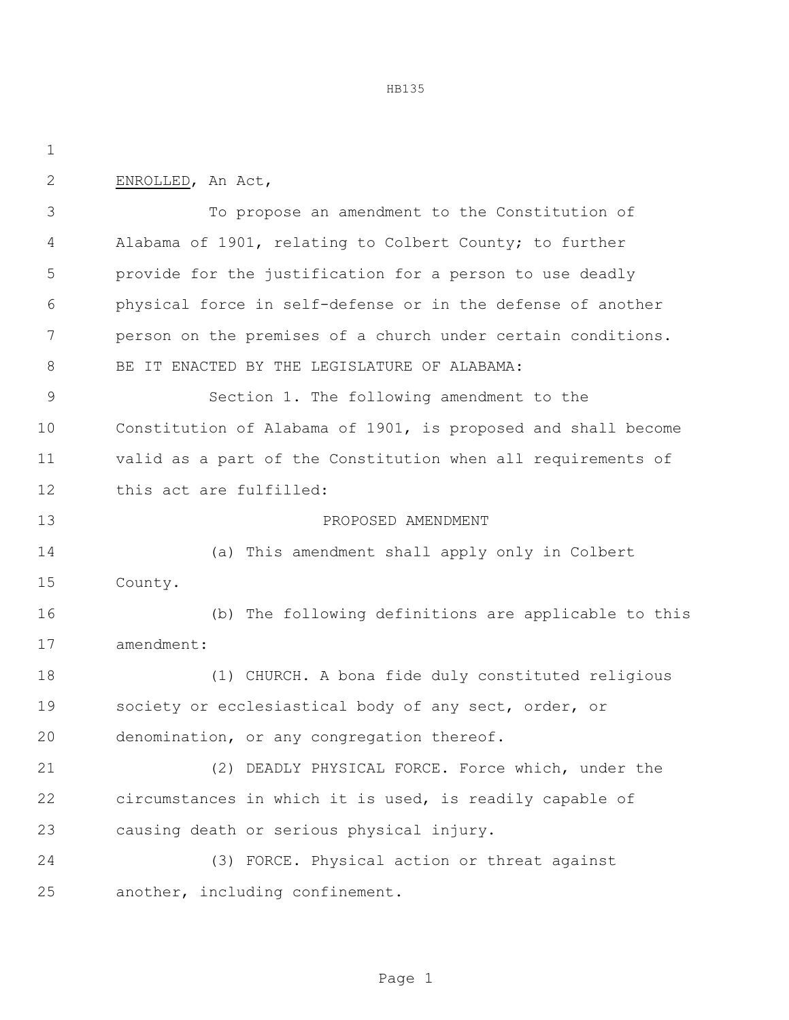HB135

| $\mathbf{2}$  | ENROLLED, An Act,                                             |  |  |
|---------------|---------------------------------------------------------------|--|--|
| 3             | To propose an amendment to the Constitution of                |  |  |
| 4             | Alabama of 1901, relating to Colbert County; to further       |  |  |
| 5             | provide for the justification for a person to use deadly      |  |  |
| 6             | physical force in self-defense or in the defense of another   |  |  |
| 7             | person on the premises of a church under certain conditions.  |  |  |
| 8             | BE IT ENACTED BY THE LEGISLATURE OF ALABAMA:                  |  |  |
| $\mathcal{G}$ | Section 1. The following amendment to the                     |  |  |
| 10            | Constitution of Alabama of 1901, is proposed and shall become |  |  |
| 11            | valid as a part of the Constitution when all requirements of  |  |  |
| 12            | this act are fulfilled:                                       |  |  |
| 13            | PROPOSED AMENDMENT                                            |  |  |
| 14            | (a) This amendment shall apply only in Colbert                |  |  |
| 15            | County.                                                       |  |  |
| 16            | (b) The following definitions are applicable to this          |  |  |
| 17            | amendment:                                                    |  |  |
| 18            | (1) CHURCH. A bona fide duly constituted religious            |  |  |
| 19            | society or ecclesiastical body of any sect, order, or         |  |  |
| 20            | denomination, or any congregation thereof.                    |  |  |
| 21            | (2) DEADLY PHYSICAL FORCE. Force which, under the             |  |  |
| 22            | circumstances in which it is used, is readily capable of      |  |  |
| 23            | causing death or serious physical injury.                     |  |  |
| 24            | (3) FORCE. Physical action or threat against                  |  |  |
| 25            | another, including confinement.                               |  |  |
|               |                                                               |  |  |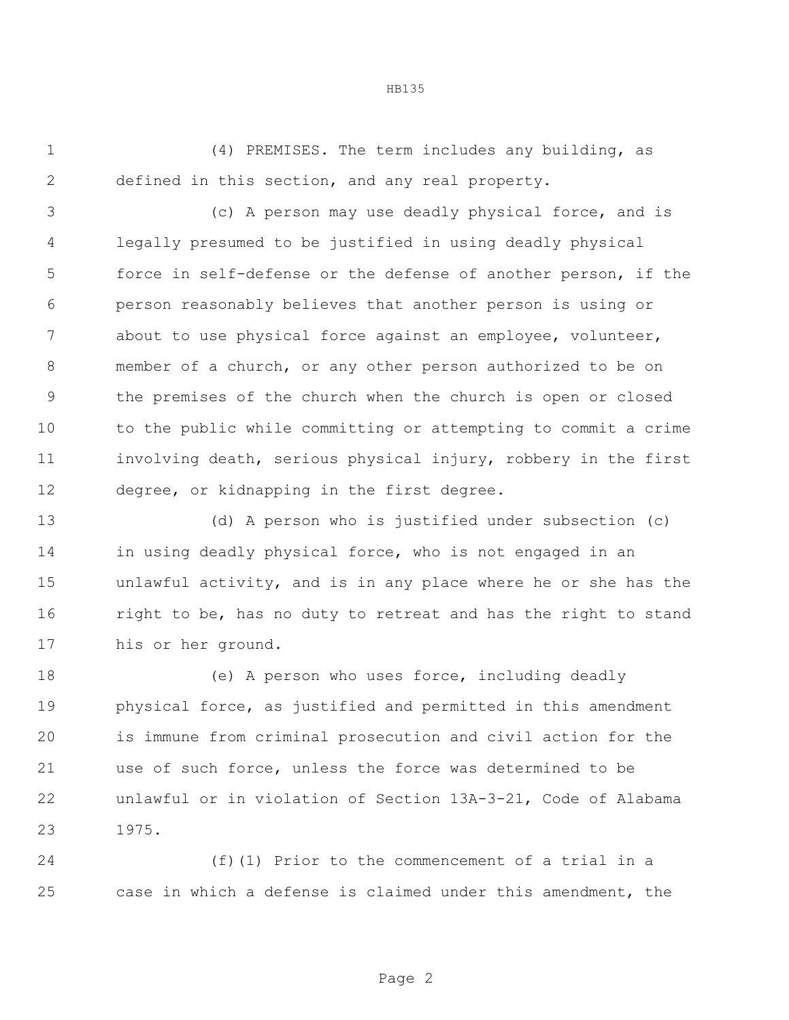(4) PREMISES. The term includes any building, as defined in this section, and any real property.

 (c) A person may use deadly physical force, and is legally presumed to be justified in using deadly physical force in self-defense or the defense of another person, if the person reasonably believes that another person is using or about to use physical force against an employee, volunteer, member of a church, or any other person authorized to be on the premises of the church when the church is open or closed to the public while committing or attempting to commit a crime involving death, serious physical injury, robbery in the first degree, or kidnapping in the first degree.

 (d) A person who is justified under subsection (c) in using deadly physical force, who is not engaged in an unlawful activity, and is in any place where he or she has the right to be, has no duty to retreat and has the right to stand his or her ground.

 (e) A person who uses force, including deadly physical force, as justified and permitted in this amendment is immune from criminal prosecution and civil action for the use of such force, unless the force was determined to be unlawful or in violation of Section 13A-3-21, Code of Alabama 1975.

 (f)(1) Prior to the commencement of a trial in a case in which a defense is claimed under this amendment, the

## HB135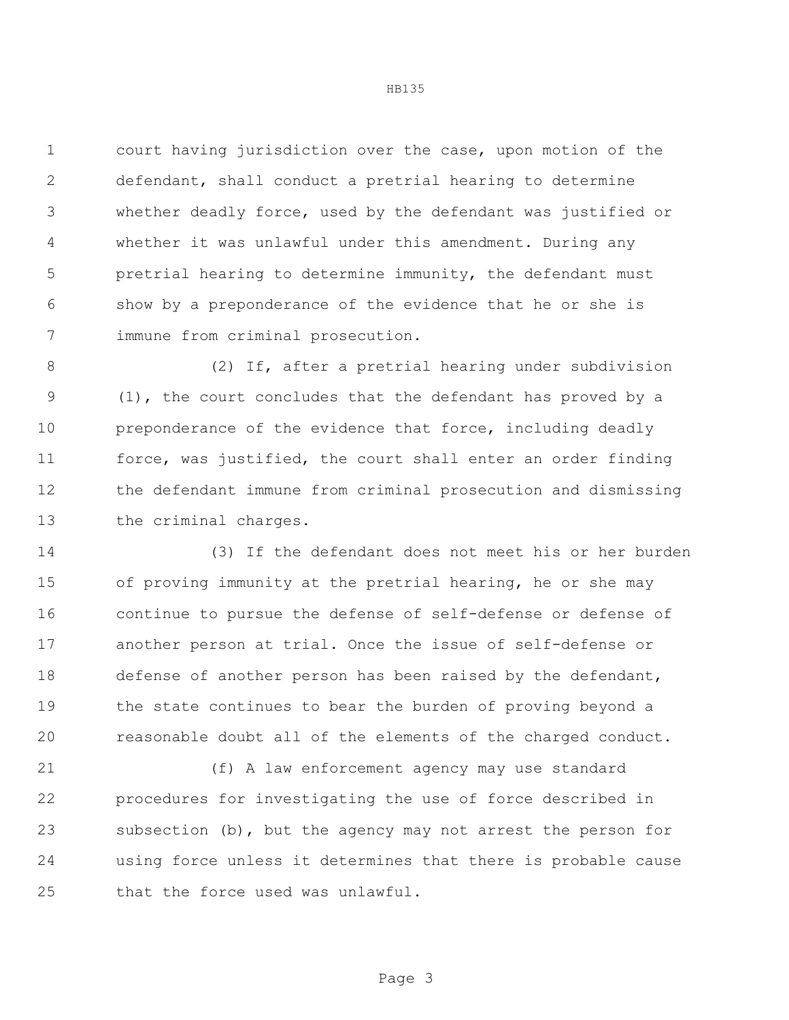court having jurisdiction over the case, upon motion of the defendant, shall conduct a pretrial hearing to determine whether deadly force, used by the defendant was justified or whether it was unlawful under this amendment. During any pretrial hearing to determine immunity, the defendant must show by a preponderance of the evidence that he or she is immune from criminal prosecution.

 (2) If, after a pretrial hearing under subdivision (1), the court concludes that the defendant has proved by a 10 preponderance of the evidence that force, including deadly force, was justified, the court shall enter an order finding the defendant immune from criminal prosecution and dismissing the criminal charges.

 (3) If the defendant does not meet his or her burden of proving immunity at the pretrial hearing, he or she may continue to pursue the defense of self-defense or defense of another person at trial. Once the issue of self-defense or defense of another person has been raised by the defendant, 19 the state continues to bear the burden of proving beyond a reasonable doubt all of the elements of the charged conduct.

 (f) A law enforcement agency may use standard procedures for investigating the use of force described in subsection (b), but the agency may not arrest the person for using force unless it determines that there is probable cause that the force used was unlawful.

HB135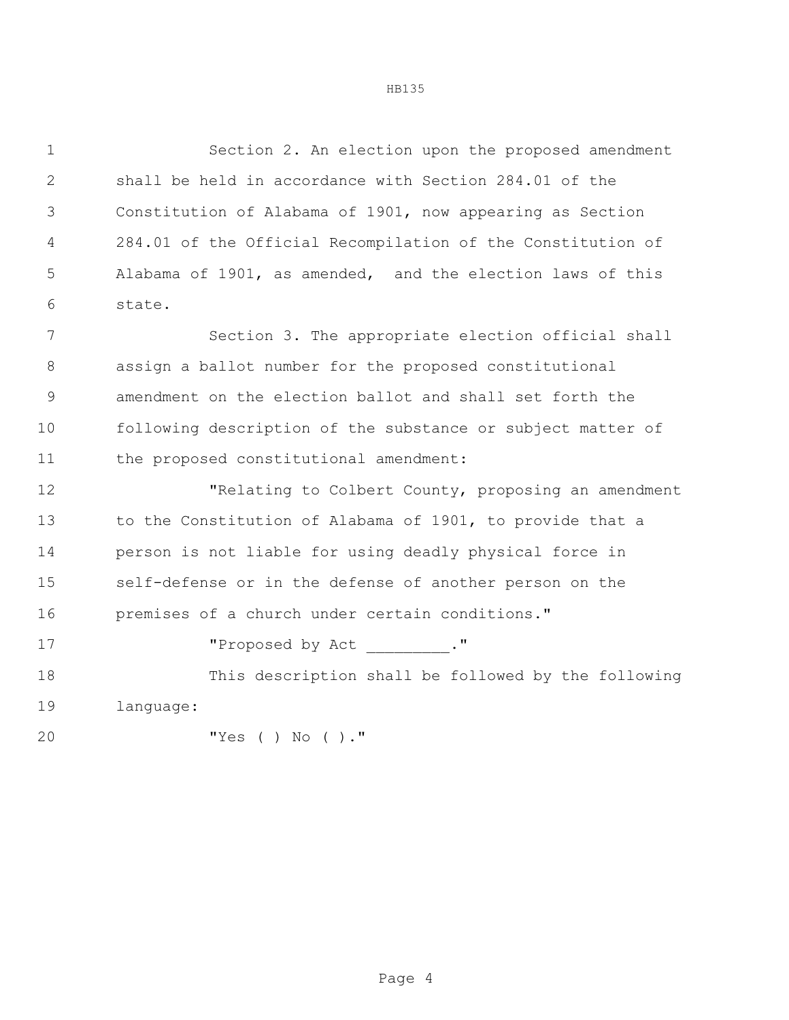Section 2. An election upon the proposed amendment shall be held in accordance with Section 284.01 of the Constitution of Alabama of 1901, now appearing as Section 284.01 of the Official Recompilation of the Constitution of Alabama of 1901, as amended, and the election laws of this state.

 Section 3. The appropriate election official shall assign a ballot number for the proposed constitutional amendment on the election ballot and shall set forth the following description of the substance or subject matter of the proposed constitutional amendment:

 "Relating to Colbert County, proposing an amendment to the Constitution of Alabama of 1901, to provide that a person is not liable for using deadly physical force in self-defense or in the defense of another person on the premises of a church under certain conditions."

17 The Proposed by Act ."

 This description shall be followed by the following language:

```
20 "Yes ( ) No ( )."
```

```
HB135
```